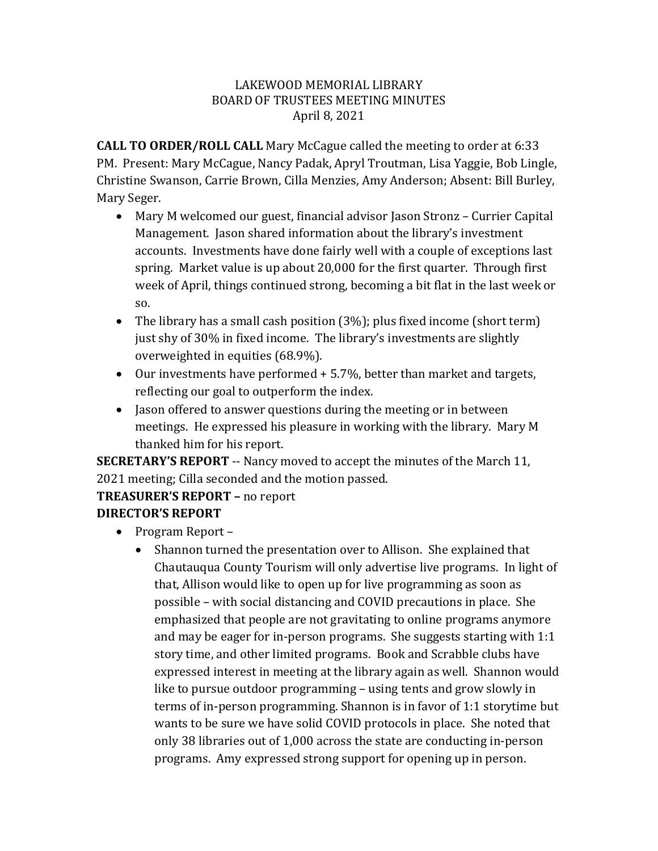#### LAKEWOOD MEMORIAL LIBRARY BOARD OF TRUSTEES MEETING MINUTES April 8, 2021

**CALL TO ORDER/ROLL CALL** Mary McCague called the meeting to order at 6:33 PM. Present: Mary McCague, Nancy Padak, Apryl Troutman, Lisa Yaggie, Bob Lingle, Christine Swanson, Carrie Brown, Cilla Menzies, Amy Anderson; Absent: Bill Burley, Mary Seger.

- Mary M welcomed our guest, financial advisor Jason Stronz Currier Capital Management. Jason shared information about the library's investment accounts. Investments have done fairly well with a couple of exceptions last spring. Market value is up about 20,000 for the first quarter. Through first week of April, things continued strong, becoming a bit flat in the last week or so.
- The library has a small cash position (3%); plus fixed income (short term) just shy of 30% in fixed income. The library's investments are slightly overweighted in equities (68.9%).
- Our investments have performed + 5.7%, better than market and targets, reflecting our goal to outperform the index.
- Jason offered to answer questions during the meeting or in between meetings. He expressed his pleasure in working with the library. Mary M thanked him for his report.

**SECRETARY'S REPORT** -- Nancy moved to accept the minutes of the March 11, 2021 meeting; Cilla seconded and the motion passed.

# **TREASURER'S REPORT –** no report

## **DIRECTOR'S REPORT**

- Program Report
	- Shannon turned the presentation over to Allison. She explained that Chautauqua County Tourism will only advertise live programs. In light of that, Allison would like to open up for live programming as soon as possible – with social distancing and COVID precautions in place. She emphasized that people are not gravitating to online programs anymore and may be eager for in-person programs. She suggests starting with 1:1 story time, and other limited programs. Book and Scrabble clubs have expressed interest in meeting at the library again as well. Shannon would like to pursue outdoor programming – using tents and grow slowly in terms of in-person programming. Shannon is in favor of 1:1 storytime but wants to be sure we have solid COVID protocols in place. She noted that only 38 libraries out of 1,000 across the state are conducting in-person programs. Amy expressed strong support for opening up in person.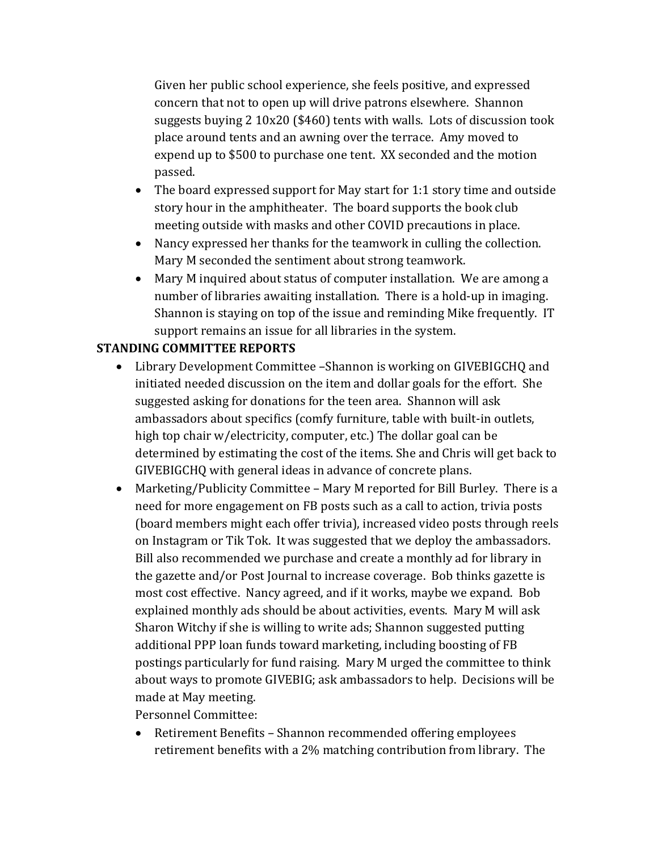Given her public school experience, she feels positive, and expressed concern that not to open up will drive patrons elsewhere. Shannon suggests buying 2 10x20 (\$460) tents with walls. Lots of discussion took place around tents and an awning over the terrace. Amy moved to expend up to \$500 to purchase one tent. XX seconded and the motion passed.

- The board expressed support for May start for 1:1 story time and outside story hour in the amphitheater. The board supports the book club meeting outside with masks and other COVID precautions in place.
- Nancy expressed her thanks for the teamwork in culling the collection. Mary M seconded the sentiment about strong teamwork.
- Mary M inquired about status of computer installation. We are among a number of libraries awaiting installation. There is a hold-up in imaging. Shannon is staying on top of the issue and reminding Mike frequently. IT support remains an issue for all libraries in the system.

## **STANDING COMMITTEE REPORTS**

- Library Development Committee –Shannon is working on GIVEBIGCHQ and initiated needed discussion on the item and dollar goals for the effort. She suggested asking for donations for the teen area. Shannon will ask ambassadors about specifics (comfy furniture, table with built-in outlets, high top chair w/electricity, computer, etc.) The dollar goal can be determined by estimating the cost of the items. She and Chris will get back to GIVEBIGCHQ with general ideas in advance of concrete plans.
- Marketing/Publicity Committee Mary M reported for Bill Burley. There is a need for more engagement on FB posts such as a call to action, trivia posts (board members might each offer trivia), increased video posts through reels on Instagram or Tik Tok. It was suggested that we deploy the ambassadors. Bill also recommended we purchase and create a monthly ad for library in the gazette and/or Post Journal to increase coverage. Bob thinks gazette is most cost effective. Nancy agreed, and if it works, maybe we expand. Bob explained monthly ads should be about activities, events. Mary M will ask Sharon Witchy if she is willing to write ads; Shannon suggested putting additional PPP loan funds toward marketing, including boosting of FB postings particularly for fund raising. Mary M urged the committee to think about ways to promote GIVEBIG; ask ambassadors to help. Decisions will be made at May meeting.

Personnel Committee:

• Retirement Benefits – Shannon recommended offering employees retirement benefits with a 2% matching contribution from library. The